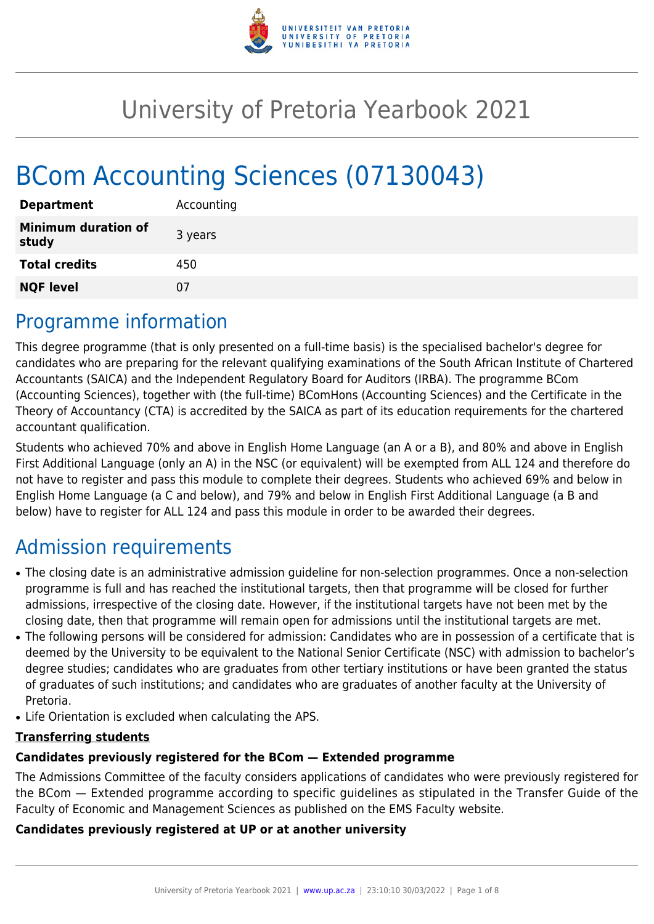

# University of Pretoria Yearbook 2021

# BCom Accounting Sciences (07130043)

| <b>Department</b>                   | Accounting |
|-------------------------------------|------------|
| <b>Minimum duration of</b><br>study | 3 years    |
| <b>Total credits</b>                | 450        |
| <b>NQF level</b>                    | 07         |

### Programme information

This degree programme (that is only presented on a full-time basis) is the specialised bachelor's degree for candidates who are preparing for the relevant qualifying examinations of the South African Institute of Chartered Accountants (SAICA) and the Independent Regulatory Board for Auditors (IRBA). The programme BCom (Accounting Sciences), together with (the full-time) BComHons (Accounting Sciences) and the Certificate in the Theory of Accountancy (CTA) is accredited by the SAICA as part of its education requirements for the chartered accountant qualification.

Students who achieved 70% and above in English Home Language (an A or a B), and 80% and above in English First Additional Language (only an A) in the NSC (or equivalent) will be exempted from ALL 124 and therefore do not have to register and pass this module to complete their degrees. Students who achieved 69% and below in English Home Language (a C and below), and 79% and below in English First Additional Language (a B and below) have to register for ALL 124 and pass this module in order to be awarded their degrees.

## Admission requirements

- The closing date is an administrative admission guideline for non-selection programmes. Once a non-selection programme is full and has reached the institutional targets, then that programme will be closed for further admissions, irrespective of the closing date. However, if the institutional targets have not been met by the closing date, then that programme will remain open for admissions until the institutional targets are met.
- The following persons will be considered for admission: Candidates who are in possession of a certificate that is deemed by the University to be equivalent to the National Senior Certificate (NSC) with admission to bachelor's degree studies; candidates who are graduates from other tertiary institutions or have been granted the status of graduates of such institutions; and candidates who are graduates of another faculty at the University of Pretoria.
- Life Orientation is excluded when calculating the APS.

#### **Transferring students**

#### **Candidates previously registered for the BCom — Extended programme**

The Admissions Committee of the faculty considers applications of candidates who were previously registered for the BCom — Extended programme according to specific guidelines as stipulated in the Transfer Guide of the Faculty of Economic and Management Sciences as published on the EMS Faculty website.

#### **Candidates previously registered at UP or at another university**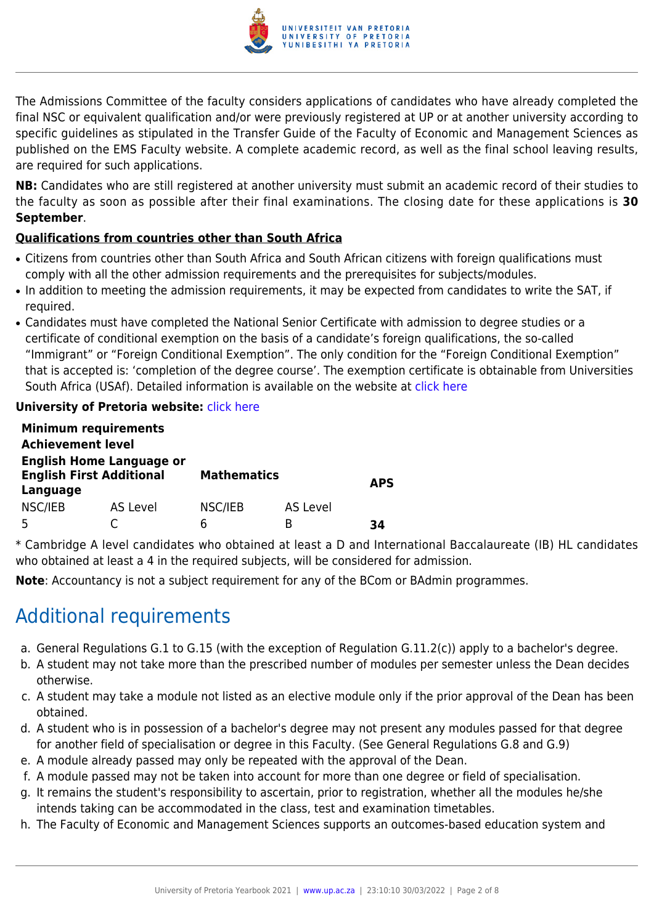

The Admissions Committee of the faculty considers applications of candidates who have already completed the final NSC or equivalent qualification and/or were previously registered at UP or at another university according to specific guidelines as stipulated in the Transfer Guide of the Faculty of Economic and Management Sciences as published on the EMS Faculty website. A complete academic record, as well as the final school leaving results, are required for such applications.

**NB:** Candidates who are still registered at another university must submit an academic record of their studies to the faculty as soon as possible after their final examinations. The closing date for these applications is **30 September**.

#### **Qualifications from countries other than South Africa**

- Citizens from countries other than South Africa and South African citizens with foreign qualifications must comply with all the other admission requirements and the prerequisites for subjects/modules.
- In addition to meeting the admission requirements, it may be expected from candidates to write the SAT, if required.
- Candidates must have completed the National Senior Certificate with admission to degree studies or a certificate of conditional exemption on the basis of a candidate's foreign qualifications, the so-called "Immigrant" or "Foreign Conditional Exemption". The only condition for the "Foreign Conditional Exemption" that is accepted is: 'completion of the degree course'. The exemption certificate is obtainable from Universities South Africa (USAf). Detailed information is available on the website at [click here](http://mb.usaf.ac.za)

#### **University of Pretoria website: [click here](http://www.up.ac.za/ems)**

|                                                                                | <b>Minimum requirements</b> |                    |                 |            |
|--------------------------------------------------------------------------------|-----------------------------|--------------------|-----------------|------------|
| <b>Achievement level</b>                                                       |                             |                    |                 |            |
| <b>English Home Language or</b><br><b>English First Additional</b><br>Language |                             | <b>Mathematics</b> |                 | <b>APS</b> |
| NSC/IEB                                                                        | AS Level                    | NSC/IEB            | <b>AS Level</b> |            |
| .5                                                                             |                             | h                  | R               | 34         |

\* Cambridge A level candidates who obtained at least a D and International Baccalaureate (IB) HL candidates who obtained at least a 4 in the required subjects, will be considered for admission.

**Note**: Accountancy is not a subject requirement for any of the BCom or BAdmin programmes.

# Additional requirements

- a. General Regulations G.1 to G.15 (with the exception of Regulation G.11.2(c)) apply to a bachelor's degree.
- b. A student may not take more than the prescribed number of modules per semester unless the Dean decides otherwise.
- c. A student may take a module not listed as an elective module only if the prior approval of the Dean has been obtained.
- d. A student who is in possession of a bachelor's degree may not present any modules passed for that degree for another field of specialisation or degree in this Faculty. (See General Regulations G.8 and G.9)
- e. A module already passed may only be repeated with the approval of the Dean.
- f. A module passed may not be taken into account for more than one degree or field of specialisation.
- g. It remains the student's responsibility to ascertain, prior to registration, whether all the modules he/she intends taking can be accommodated in the class, test and examination timetables.
- h. The Faculty of Economic and Management Sciences supports an outcomes-based education system and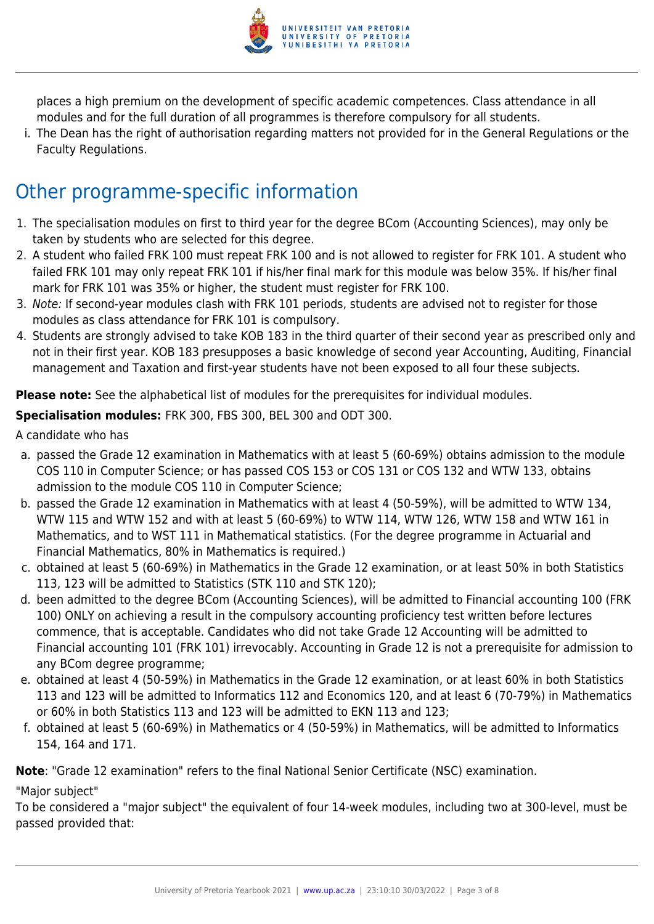

places a high premium on the development of specific academic competences. Class attendance in all modules and for the full duration of all programmes is therefore compulsory for all students.

i. The Dean has the right of authorisation regarding matters not provided for in the General Regulations or the Faculty Regulations.

# Other programme-specific information

- 1. The specialisation modules on first to third year for the degree BCom (Accounting Sciences), may only be taken by students who are selected for this degree.
- 2. A student who failed FRK 100 must repeat FRK 100 and is not allowed to register for FRK 101. A student who failed FRK 101 may only repeat FRK 101 if his/her final mark for this module was below 35%. If his/her final mark for FRK 101 was 35% or higher, the student must register for FRK 100.
- 3. Note: If second-year modules clash with FRK 101 periods, students are advised not to register for those modules as class attendance for FRK 101 is compulsory.
- 4. Students are strongly advised to take KOB 183 in the third quarter of their second year as prescribed only and not in their first year. KOB 183 presupposes a basic knowledge of second year Accounting, Auditing, Financial management and Taxation and first-year students have not been exposed to all four these subjects.

**Please note:** See the alphabetical list of modules for the prerequisites for individual modules.

**Specialisation modules:** FRK 300, FBS 300, BEL 300 and ODT 300.

A candidate who has

- a. passed the Grade 12 examination in Mathematics with at least 5 (60-69%) obtains admission to the module COS 110 in Computer Science; or has passed COS 153 or COS 131 or COS 132 and WTW 133, obtains admission to the module COS 110 in Computer Science;
- b. passed the Grade 12 examination in Mathematics with at least 4 (50-59%), will be admitted to WTW 134, WTW 115 and WTW 152 and with at least 5 (60-69%) to WTW 114, WTW 126, WTW 158 and WTW 161 in Mathematics, and to WST 111 in Mathematical statistics. (For the degree programme in Actuarial and Financial Mathematics, 80% in Mathematics is required.)
- c. obtained at least 5 (60-69%) in Mathematics in the Grade 12 examination, or at least 50% in both Statistics 113, 123 will be admitted to Statistics (STK 110 and STK 120);
- d. been admitted to the degree BCom (Accounting Sciences), will be admitted to Financial accounting 100 (FRK 100) ONLY on achieving a result in the compulsory accounting proficiency test written before lectures commence, that is acceptable. Candidates who did not take Grade 12 Accounting will be admitted to Financial accounting 101 (FRK 101) irrevocably. Accounting in Grade 12 is not a prerequisite for admission to any BCom degree programme;
- e. obtained at least 4 (50-59%) in Mathematics in the Grade 12 examination, or at least 60% in both Statistics 113 and 123 will be admitted to Informatics 112 and Economics 120, and at least 6 (70-79%) in Mathematics or 60% in both Statistics 113 and 123 will be admitted to EKN 113 and 123;
- f. obtained at least 5 (60-69%) in Mathematics or 4 (50-59%) in Mathematics, will be admitted to Informatics 154, 164 and 171.

**Note**: "Grade 12 examination" refers to the final National Senior Certificate (NSC) examination.

"Major subject"

To be considered a "major subject" the equivalent of four 14-week modules, including two at 300-level, must be passed provided that: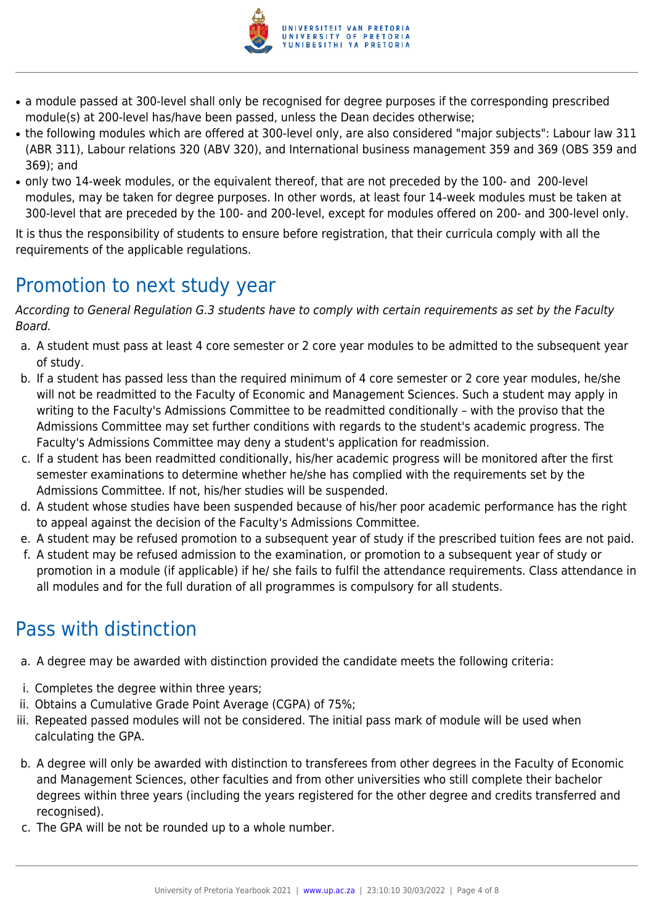

- a module passed at 300-level shall only be recognised for degree purposes if the corresponding prescribed module(s) at 200-level has/have been passed, unless the Dean decides otherwise;
- the following modules which are offered at 300-level only, are also considered "major subjects": Labour law 311 (ABR 311), Labour relations 320 (ABV 320), and International business management 359 and 369 (OBS 359 and 369); and
- only two 14-week modules, or the equivalent thereof, that are not preceded by the 100- and 200-level modules, may be taken for degree purposes. In other words, at least four 14-week modules must be taken at 300-level that are preceded by the 100- and 200-level, except for modules offered on 200- and 300-level only.

It is thus the responsibility of students to ensure before registration, that their curricula comply with all the requirements of the applicable regulations.

# Promotion to next study year

According to General Regulation G.3 students have to comply with certain requirements as set by the Faculty Board.

- a. A student must pass at least 4 core semester or 2 core year modules to be admitted to the subsequent year of study.
- b. If a student has passed less than the required minimum of 4 core semester or 2 core year modules, he/she will not be readmitted to the Faculty of Economic and Management Sciences. Such a student may apply in writing to the Faculty's Admissions Committee to be readmitted conditionally – with the proviso that the Admissions Committee may set further conditions with regards to the student's academic progress. The Faculty's Admissions Committee may deny a student's application for readmission.
- c. If a student has been readmitted conditionally, his/her academic progress will be monitored after the first semester examinations to determine whether he/she has complied with the requirements set by the Admissions Committee. If not, his/her studies will be suspended.
- d. A student whose studies have been suspended because of his/her poor academic performance has the right to appeal against the decision of the Faculty's Admissions Committee.
- e. A student may be refused promotion to a subsequent year of study if the prescribed tuition fees are not paid.
- f. A student may be refused admission to the examination, or promotion to a subsequent year of study or promotion in a module (if applicable) if he/ she fails to fulfil the attendance requirements. Class attendance in all modules and for the full duration of all programmes is compulsory for all students.

# Pass with distinction

- a. A degree may be awarded with distinction provided the candidate meets the following criteria:
- i. Completes the degree within three years;
- ii. Obtains a Cumulative Grade Point Average (CGPA) of 75%;
- iii. Repeated passed modules will not be considered. The initial pass mark of module will be used when calculating the GPA.
- b. A degree will only be awarded with distinction to transferees from other degrees in the Faculty of Economic and Management Sciences, other faculties and from other universities who still complete their bachelor degrees within three years (including the years registered for the other degree and credits transferred and recognised).
- c. The GPA will be not be rounded up to a whole number.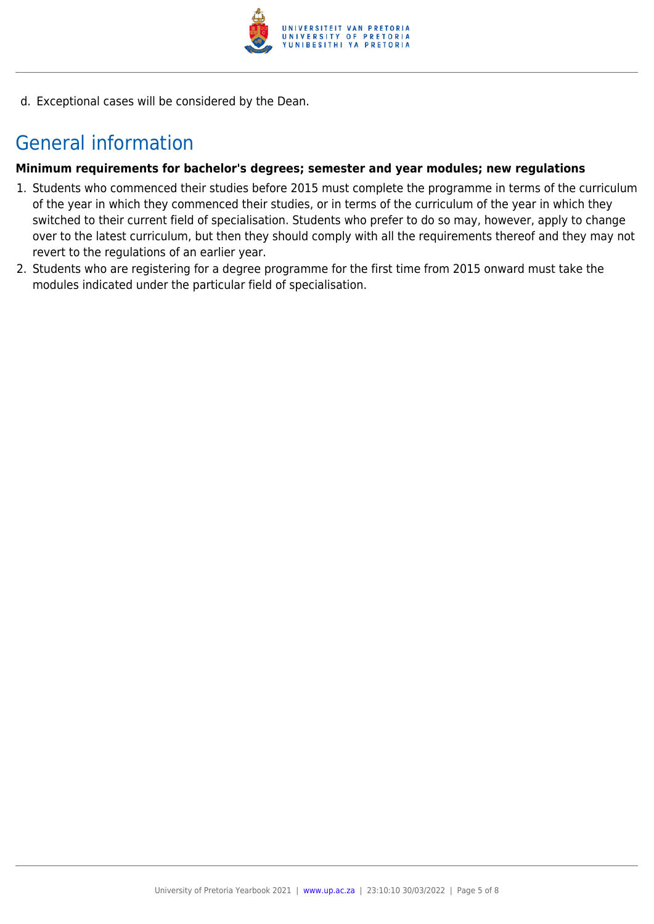

d. Exceptional cases will be considered by the Dean.

### General information

#### **Minimum requirements for bachelor's degrees; semester and year modules; new regulations**

- 1. Students who commenced their studies before 2015 must complete the programme in terms of the curriculum of the year in which they commenced their studies, or in terms of the curriculum of the year in which they switched to their current field of specialisation. Students who prefer to do so may, however, apply to change over to the latest curriculum, but then they should comply with all the requirements thereof and they may not revert to the regulations of an earlier year.
- 2. Students who are registering for a degree programme for the first time from 2015 onward must take the modules indicated under the particular field of specialisation.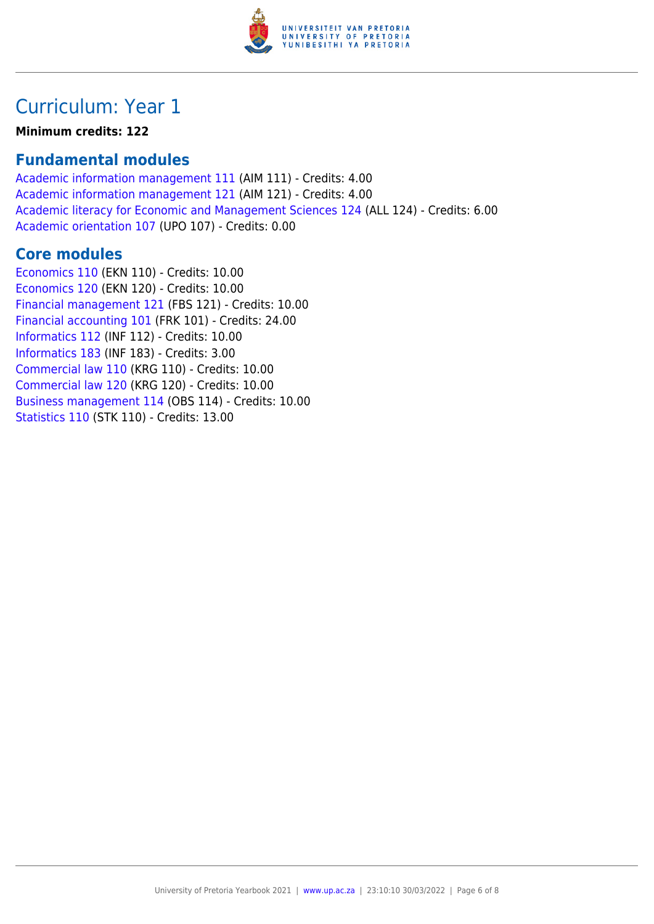

### Curriculum: Year 1

**Minimum credits: 122**

### **Fundamental modules**

[Academic information management 111](https://www.up.ac.za/yearbooks/2021/modules/view/AIM 111) (AIM 111) - Credits: 4.00 [Academic information management 121](https://www.up.ac.za/yearbooks/2021/modules/view/AIM 121) (AIM 121) - Credits: 4.00 [Academic literacy for Economic and Management Sciences 124](https://www.up.ac.za/yearbooks/2021/modules/view/ALL 124) (ALL 124) - Credits: 6.00 [Academic orientation 107](https://www.up.ac.za/yearbooks/2021/modules/view/UPO 107) (UPO 107) - Credits: 0.00

### **Core modules**

[Economics 110](https://www.up.ac.za/yearbooks/2021/modules/view/EKN 110) (EKN 110) - Credits: 10.00 [Economics 120](https://www.up.ac.za/yearbooks/2021/modules/view/EKN 120) (EKN 120) - Credits: 10.00 [Financial management 121](https://www.up.ac.za/yearbooks/2021/modules/view/FBS 121) (FBS 121) - Credits: 10.00 [Financial accounting 101](https://www.up.ac.za/yearbooks/2021/modules/view/FRK 101) (FRK 101) - Credits: 24.00 [Informatics 112](https://www.up.ac.za/yearbooks/2021/modules/view/INF 112) (INF 112) - Credits: 10.00 [Informatics 183](https://www.up.ac.za/yearbooks/2021/modules/view/INF 183) (INF 183) - Credits: 3.00 [Commercial law 110](https://www.up.ac.za/yearbooks/2021/modules/view/KRG 110) (KRG 110) - Credits: 10.00 [Commercial law 120](https://www.up.ac.za/yearbooks/2021/modules/view/KRG 120) (KRG 120) - Credits: 10.00 [Business management 114](https://www.up.ac.za/yearbooks/2021/modules/view/OBS 114) (OBS 114) - Credits: 10.00 [Statistics 110](https://www.up.ac.za/yearbooks/2021/modules/view/STK 110) (STK 110) - Credits: 13.00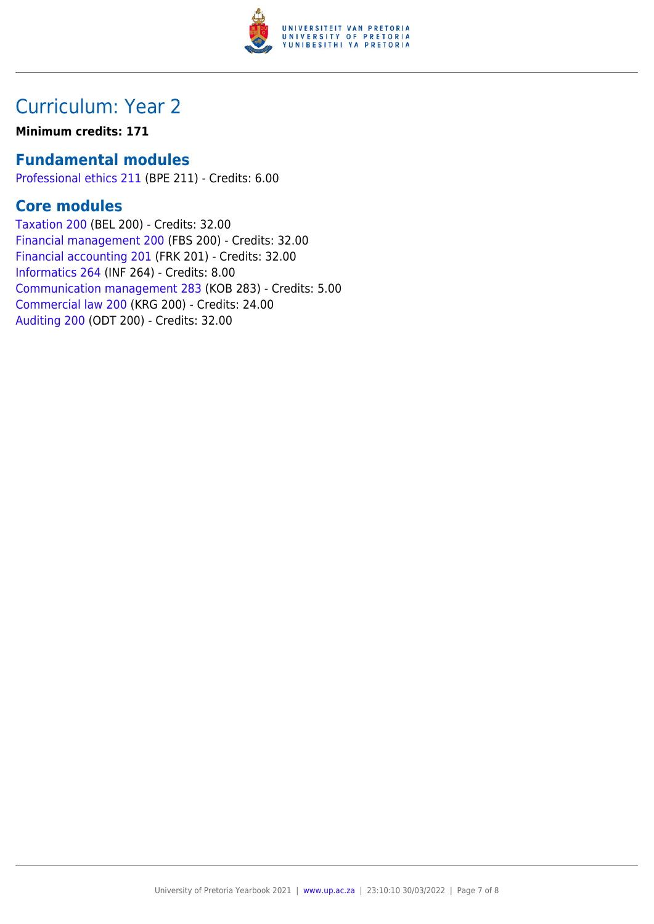

### Curriculum: Year 2

#### **Minimum credits: 171**

### **Fundamental modules**

[Professional ethics 211](https://www.up.ac.za/yearbooks/2021/modules/view/BPE 211) (BPE 211) - Credits: 6.00

### **Core modules**

[Taxation 200](https://www.up.ac.za/yearbooks/2021/modules/view/BEL 200) (BEL 200) - Credits: 32.00 [Financial management 200](https://www.up.ac.za/yearbooks/2021/modules/view/FBS 200) (FBS 200) - Credits: 32.00 [Financial accounting 201](https://www.up.ac.za/yearbooks/2021/modules/view/FRK 201) (FRK 201) - Credits: 32.00 [Informatics 264](https://www.up.ac.za/yearbooks/2021/modules/view/INF 264) (INF 264) - Credits: 8.00 [Communication management 283](https://www.up.ac.za/yearbooks/2021/modules/view/KOB 283) (KOB 283) - Credits: 5.00 [Commercial law 200](https://www.up.ac.za/yearbooks/2021/modules/view/KRG 200) (KRG 200) - Credits: 24.00 [Auditing 200](https://www.up.ac.za/yearbooks/2021/modules/view/ODT 200) (ODT 200) - Credits: 32.00